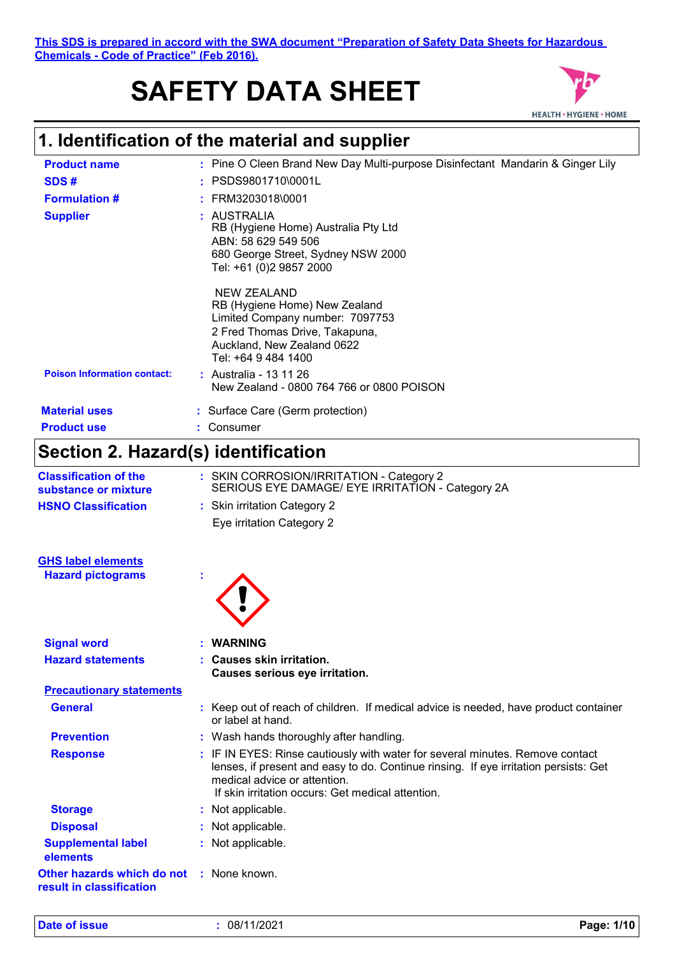**This SDS is prepared in accord with the SWA document "Preparation of Safety Data Sheets for Hazardous Chemicals - Code of Practice" (Feb 2016).**

# **SAFETY DATA SHEET**



## **1. Identification of the material and supplier**

| <b>Product name</b>                | : Pine O Cleen Brand New Day Multi-purpose Disinfectant Mandarin & Ginger Lily                                                                                         |
|------------------------------------|------------------------------------------------------------------------------------------------------------------------------------------------------------------------|
| SDS#                               | $:$ PSDS9801710\0001L                                                                                                                                                  |
| <b>Formulation #</b>               | : FRM3203018\0001                                                                                                                                                      |
| <b>Supplier</b>                    | : AUSTRALIA<br>RB (Hygiene Home) Australia Pty Ltd<br>ABN: 58 629 549 506<br>680 George Street, Sydney NSW 2000<br>Tel: +61 (0)2 9857 2000                             |
|                                    | NEW ZEALAND<br>RB (Hygiene Home) New Zealand<br>Limited Company number: 7097753<br>2 Fred Thomas Drive, Takapuna,<br>Auckland, New Zealand 0622<br>Tel: +64 9 484 1400 |
| <b>Poison Information contact:</b> | : Australia - 13 11 26<br>New Zealand - 0800 764 766 or 0800 POISON                                                                                                    |
| <b>Material uses</b>               | : Surface Care (Germ protection)                                                                                                                                       |
| <b>Product use</b>                 | Consumer                                                                                                                                                               |

# **Section 2. Hazard(s) identification**

| <b>Classification of the</b><br>substance or mixture                        | : SKIN CORROSION/IRRITATION - Category 2<br>SERIOUS EYE DAMAGE/ EYE IRRITATION - Category 2A                                                                                                                                                               |
|-----------------------------------------------------------------------------|------------------------------------------------------------------------------------------------------------------------------------------------------------------------------------------------------------------------------------------------------------|
| <b>HSNO Classification</b>                                                  | : Skin irritation Category 2                                                                                                                                                                                                                               |
|                                                                             | Eye irritation Category 2                                                                                                                                                                                                                                  |
| <b>GHS label elements</b>                                                   |                                                                                                                                                                                                                                                            |
| <b>Hazard pictograms</b>                                                    |                                                                                                                                                                                                                                                            |
| <b>Signal word</b>                                                          | <b>WARNING</b>                                                                                                                                                                                                                                             |
| <b>Hazard statements</b>                                                    | : Causes skin irritation.<br>Causes serious eye irritation.                                                                                                                                                                                                |
| <b>Precautionary statements</b>                                             |                                                                                                                                                                                                                                                            |
| <b>General</b>                                                              | : Keep out of reach of children. If medical advice is needed, have product container<br>or label at hand.                                                                                                                                                  |
| <b>Prevention</b>                                                           | : Wash hands thoroughly after handling.                                                                                                                                                                                                                    |
| <b>Response</b>                                                             | : IF IN EYES: Rinse cautiously with water for several minutes. Remove contact<br>lenses, if present and easy to do. Continue rinsing. If eye irritation persists: Get<br>medical advice or attention.<br>If skin irritation occurs: Get medical attention. |
| <b>Storage</b>                                                              | : Not applicable.                                                                                                                                                                                                                                          |
| <b>Disposal</b>                                                             | : Not applicable.                                                                                                                                                                                                                                          |
| <b>Supplemental label</b><br>elements                                       | : Not applicable.                                                                                                                                                                                                                                          |
| <b>Other hazards which do not : None known.</b><br>result in classification |                                                                                                                                                                                                                                                            |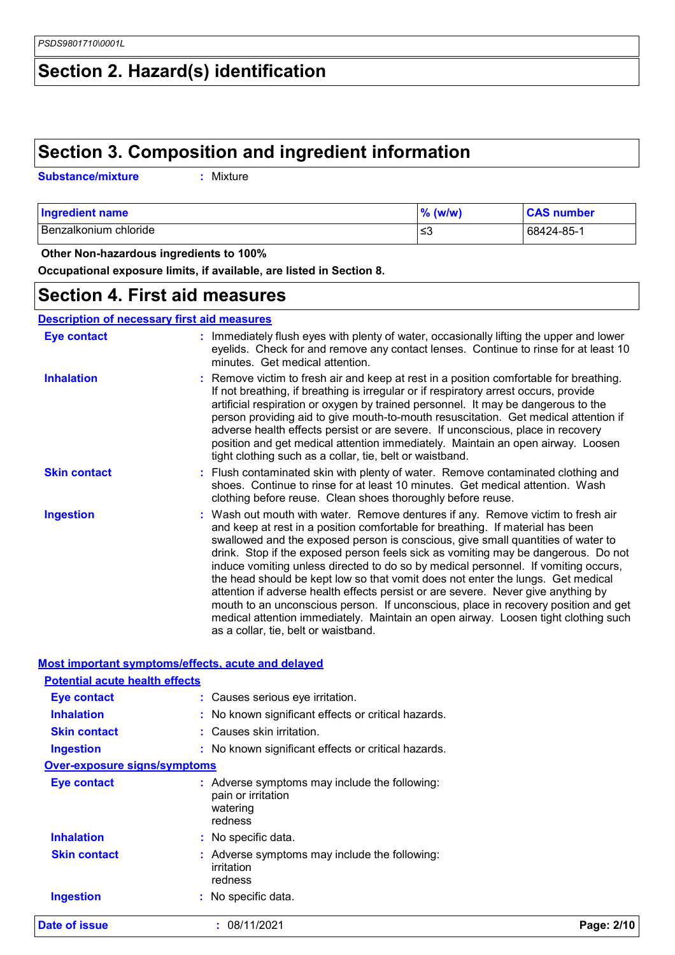## **Section 2. Hazard(s) identification**

## **Section 3. Composition and ingredient information**

| <b>Substance/mixture</b><br>: Mixture |  |
|---------------------------------------|--|
|---------------------------------------|--|

| <b>Ingredient name</b> | $%$ (w/w) | <b>CAS number</b> |
|------------------------|-----------|-------------------|
| Benzalkonium chloride  | '≤3       | 68424-85-1        |

 **Other Non-hazardous ingredients to 100%**

**Occupational exposure limits, if available, are listed in Section 8.**

### **Section 4. First aid measures**

**Description of necessary first aid measures**

| <b>Eye contact</b>  | : Immediately flush eyes with plenty of water, occasionally lifting the upper and lower<br>eyelids. Check for and remove any contact lenses. Continue to rinse for at least 10<br>minutes. Get medical attention.                                                                                                                                                                                                                                                                                                                                                                                                                                                                                                                                                                                                            |
|---------------------|------------------------------------------------------------------------------------------------------------------------------------------------------------------------------------------------------------------------------------------------------------------------------------------------------------------------------------------------------------------------------------------------------------------------------------------------------------------------------------------------------------------------------------------------------------------------------------------------------------------------------------------------------------------------------------------------------------------------------------------------------------------------------------------------------------------------------|
| <b>Inhalation</b>   | : Remove victim to fresh air and keep at rest in a position comfortable for breathing.<br>If not breathing, if breathing is irregular or if respiratory arrest occurs, provide<br>artificial respiration or oxygen by trained personnel. It may be dangerous to the<br>person providing aid to give mouth-to-mouth resuscitation. Get medical attention if<br>adverse health effects persist or are severe. If unconscious, place in recovery<br>position and get medical attention immediately. Maintain an open airway. Loosen<br>tight clothing such as a collar, tie, belt or waistband.                                                                                                                                                                                                                                 |
| <b>Skin contact</b> | : Flush contaminated skin with plenty of water. Remove contaminated clothing and<br>shoes. Continue to rinse for at least 10 minutes. Get medical attention. Wash<br>clothing before reuse. Clean shoes thoroughly before reuse.                                                                                                                                                                                                                                                                                                                                                                                                                                                                                                                                                                                             |
| <b>Ingestion</b>    | : Wash out mouth with water. Remove dentures if any. Remove victim to fresh air<br>and keep at rest in a position comfortable for breathing. If material has been<br>swallowed and the exposed person is conscious, give small quantities of water to<br>drink. Stop if the exposed person feels sick as vomiting may be dangerous. Do not<br>induce vomiting unless directed to do so by medical personnel. If vomiting occurs,<br>the head should be kept low so that vomit does not enter the lungs. Get medical<br>attention if adverse health effects persist or are severe. Never give anything by<br>mouth to an unconscious person. If unconscious, place in recovery position and get<br>medical attention immediately. Maintain an open airway. Loosen tight clothing such<br>as a collar, tie, belt or waistband. |

| <b>Date of issue</b>                                      | : 08/11/2021                                                                               | Page: 2/10 |  |  |
|-----------------------------------------------------------|--------------------------------------------------------------------------------------------|------------|--|--|
| <b>Ingestion</b>                                          | : No specific data.                                                                        |            |  |  |
| <b>Skin contact</b>                                       | Adverse symptoms may include the following:<br>irritation<br>redness                       |            |  |  |
| <b>Inhalation</b>                                         | : No specific data.                                                                        |            |  |  |
| <b>Eye contact</b>                                        | : Adverse symptoms may include the following:<br>pain or irritation<br>watering<br>redness |            |  |  |
| <b>Over-exposure signs/symptoms</b>                       |                                                                                            |            |  |  |
| <b>Ingestion</b>                                          | : No known significant effects or critical hazards.                                        |            |  |  |
| <b>Skin contact</b>                                       | : Causes skin irritation.                                                                  |            |  |  |
| <b>Inhalation</b>                                         | : No known significant effects or critical hazards.                                        |            |  |  |
| Eye contact                                               | : Causes serious eye irritation.                                                           |            |  |  |
| <b>Potential acute health effects</b>                     |                                                                                            |            |  |  |
| <b>Most important symptoms/effects, acute and delayed</b> |                                                                                            |            |  |  |
|                                                           |                                                                                            |            |  |  |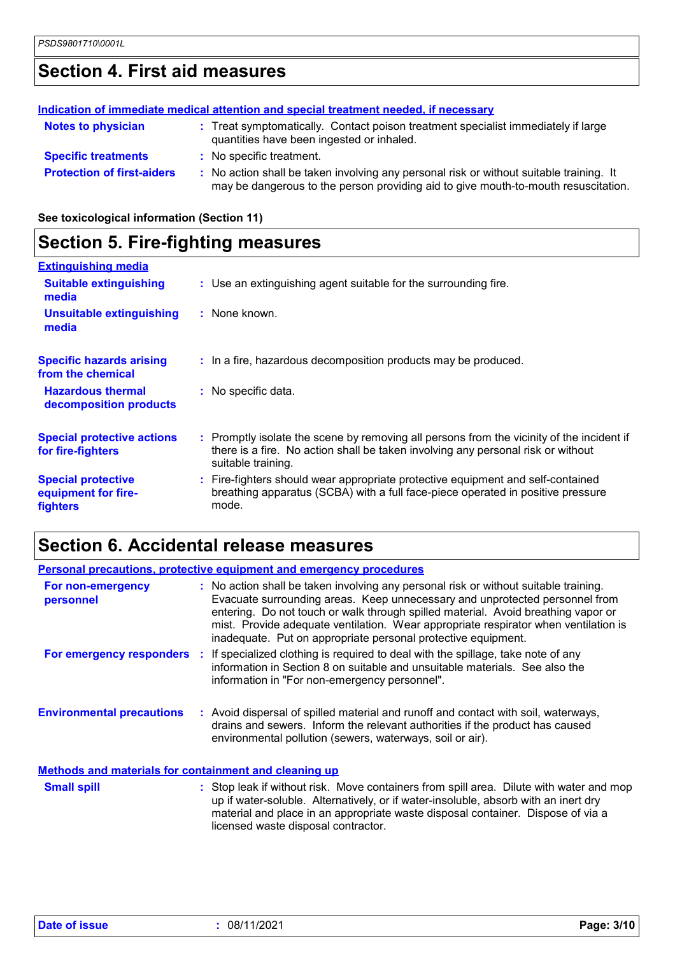## **Section 4. First aid measures**

| Indication of immediate medical attention and special treatment needed, if necessary |  |                                                                                                                                                                               |  |
|--------------------------------------------------------------------------------------|--|-------------------------------------------------------------------------------------------------------------------------------------------------------------------------------|--|
| <b>Notes to physician</b>                                                            |  | : Treat symptomatically. Contact poison treatment specialist immediately if large<br>quantities have been ingested or inhaled.                                                |  |
| <b>Specific treatments</b>                                                           |  | : No specific treatment.                                                                                                                                                      |  |
| <b>Protection of first-aiders</b>                                                    |  | : No action shall be taken involving any personal risk or without suitable training. It<br>may be dangerous to the person providing aid to give mouth-to-mouth resuscitation. |  |

**See toxicological information (Section 11)**

### **Section 5. Fire-fighting measures**

| <b>Extinguishing media</b>                                   |                                                                                                                                                                                                     |
|--------------------------------------------------------------|-----------------------------------------------------------------------------------------------------------------------------------------------------------------------------------------------------|
| <b>Suitable extinguishing</b><br>media                       | : Use an extinguishing agent suitable for the surrounding fire.                                                                                                                                     |
| <b>Unsuitable extinguishing</b><br>media                     | : None known.                                                                                                                                                                                       |
| <b>Specific hazards arising</b><br>from the chemical         | : In a fire, hazardous decomposition products may be produced.                                                                                                                                      |
| <b>Hazardous thermal</b><br>decomposition products           | : No specific data.                                                                                                                                                                                 |
| <b>Special protective actions</b><br>for fire-fighters       | : Promptly isolate the scene by removing all persons from the vicinity of the incident if<br>there is a fire. No action shall be taken involving any personal risk or without<br>suitable training. |
| <b>Special protective</b><br>equipment for fire-<br>fighters | : Fire-fighters should wear appropriate protective equipment and self-contained<br>breathing apparatus (SCBA) with a full face-piece operated in positive pressure<br>mode.                         |

## **Section 6. Accidental release measures**

| <b>Personal precautions, protective equipment and emergency procedures</b> |  |                                                                                                                                                                                                                                                                                                                                                                                                                  |  |
|----------------------------------------------------------------------------|--|------------------------------------------------------------------------------------------------------------------------------------------------------------------------------------------------------------------------------------------------------------------------------------------------------------------------------------------------------------------------------------------------------------------|--|
| For non-emergency<br>personnel                                             |  | : No action shall be taken involving any personal risk or without suitable training.<br>Evacuate surrounding areas. Keep unnecessary and unprotected personnel from<br>entering. Do not touch or walk through spilled material. Avoid breathing vapor or<br>mist. Provide adequate ventilation. Wear appropriate respirator when ventilation is<br>inadequate. Put on appropriate personal protective equipment. |  |
|                                                                            |  | For emergency responders : If specialized clothing is required to deal with the spillage, take note of any<br>information in Section 8 on suitable and unsuitable materials. See also the<br>information in "For non-emergency personnel".                                                                                                                                                                       |  |
| <b>Environmental precautions</b>                                           |  | : Avoid dispersal of spilled material and runoff and contact with soil, waterways,<br>drains and sewers. Inform the relevant authorities if the product has caused<br>environmental pollution (sewers, waterways, soil or air).                                                                                                                                                                                  |  |
| <b>Methods and materials for containment and cleaning up</b>               |  |                                                                                                                                                                                                                                                                                                                                                                                                                  |  |
| <b>Small spill</b>                                                         |  | : Stop leak if without risk. Move containers from spill area. Dilute with water and mop<br>up if water-soluble. Alternatively, or if water-insoluble, absorb with an inert dry                                                                                                                                                                                                                                   |  |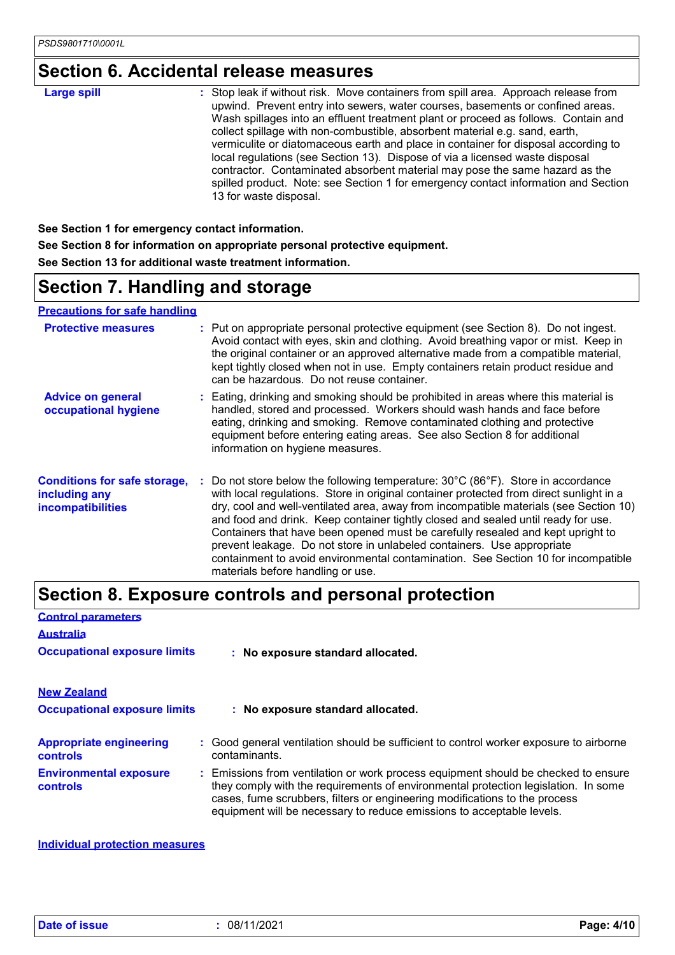## **Section 6. Accidental release measures**

| 13 for waste disposal. |
|------------------------|
|------------------------|

**See Section 1 for emergency contact information. See Section 8 for information on appropriate personal protective equipment. See Section 13 for additional waste treatment information.**

### **Section 7. Handling and storage**

#### **Precautions for safe handling**

| <b>Protective measures</b>                                                | : Put on appropriate personal protective equipment (see Section 8). Do not ingest.<br>Avoid contact with eyes, skin and clothing. Avoid breathing vapor or mist. Keep in<br>the original container or an approved alternative made from a compatible material,<br>kept tightly closed when not in use. Empty containers retain product residue and<br>can be hazardous. Do not reuse container.                                                                                                                                                                                                                                                |  |
|---------------------------------------------------------------------------|------------------------------------------------------------------------------------------------------------------------------------------------------------------------------------------------------------------------------------------------------------------------------------------------------------------------------------------------------------------------------------------------------------------------------------------------------------------------------------------------------------------------------------------------------------------------------------------------------------------------------------------------|--|
| <b>Advice on general</b><br>occupational hygiene                          | : Eating, drinking and smoking should be prohibited in areas where this material is<br>handled, stored and processed. Workers should wash hands and face before<br>eating, drinking and smoking. Remove contaminated clothing and protective<br>equipment before entering eating areas. See also Section 8 for additional<br>information on hygiene measures.                                                                                                                                                                                                                                                                                  |  |
| <b>Conditions for safe storage,</b><br>including any<br>incompatibilities | Do not store below the following temperature: 30°C (86°F). Store in accordance<br>with local regulations. Store in original container protected from direct sunlight in a<br>dry, cool and well-ventilated area, away from incompatible materials (see Section 10)<br>and food and drink. Keep container tightly closed and sealed until ready for use.<br>Containers that have been opened must be carefully resealed and kept upright to<br>prevent leakage. Do not store in unlabeled containers. Use appropriate<br>containment to avoid environmental contamination. See Section 10 for incompatible<br>materials before handling or use. |  |

## **Section 8. Exposure controls and personal protection**

| <b>Control parameters</b>                         |                                                                                                                                                                                                                                                                                                                                 |  |
|---------------------------------------------------|---------------------------------------------------------------------------------------------------------------------------------------------------------------------------------------------------------------------------------------------------------------------------------------------------------------------------------|--|
| <b>Australia</b>                                  |                                                                                                                                                                                                                                                                                                                                 |  |
| <b>Occupational exposure limits</b>               | : No exposure standard allocated.                                                                                                                                                                                                                                                                                               |  |
| <b>New Zealand</b>                                |                                                                                                                                                                                                                                                                                                                                 |  |
| <b>Occupational exposure limits</b>               | : No exposure standard allocated.                                                                                                                                                                                                                                                                                               |  |
| <b>Appropriate engineering</b><br><b>controls</b> | : Good general ventilation should be sufficient to control worker exposure to airborne<br>contaminants.                                                                                                                                                                                                                         |  |
| <b>Environmental exposure</b><br><b>controls</b>  | : Emissions from ventilation or work process equipment should be checked to ensure<br>they comply with the requirements of environmental protection legislation. In some<br>cases, fume scrubbers, filters or engineering modifications to the process<br>equipment will be necessary to reduce emissions to acceptable levels. |  |

**Individual protection measures**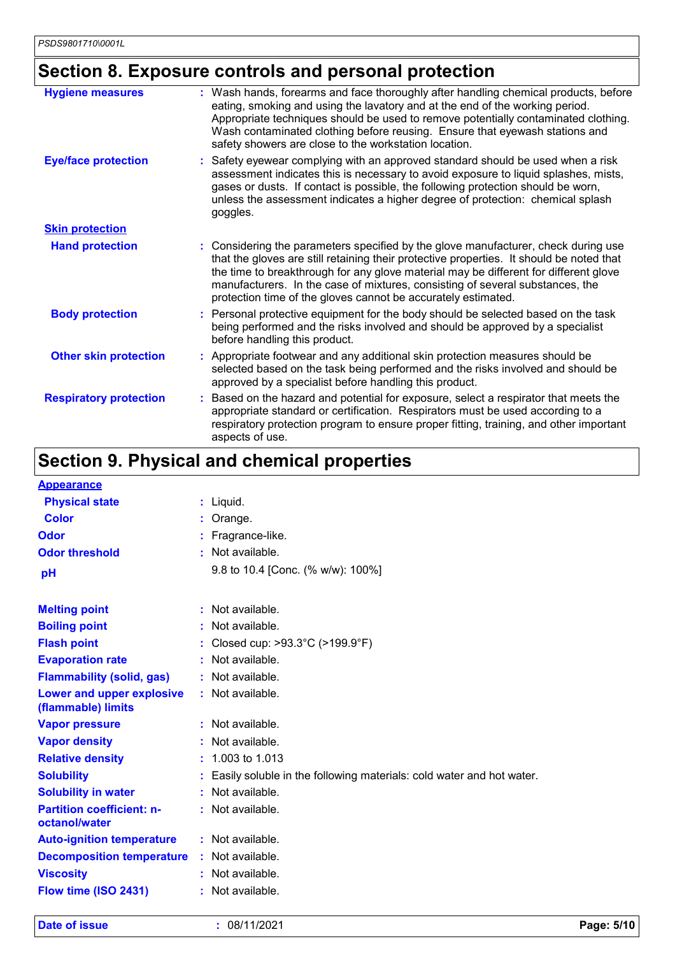## **Section 8. Exposure controls and personal protection**

| <b>Hygiene measures</b>       | : Wash hands, forearms and face thoroughly after handling chemical products, before<br>eating, smoking and using the lavatory and at the end of the working period.<br>Appropriate techniques should be used to remove potentially contaminated clothing.<br>Wash contaminated clothing before reusing. Ensure that eyewash stations and<br>safety showers are close to the workstation location.                        |
|-------------------------------|--------------------------------------------------------------------------------------------------------------------------------------------------------------------------------------------------------------------------------------------------------------------------------------------------------------------------------------------------------------------------------------------------------------------------|
| <b>Eye/face protection</b>    | Safety eyewear complying with an approved standard should be used when a risk<br>assessment indicates this is necessary to avoid exposure to liquid splashes, mists,<br>gases or dusts. If contact is possible, the following protection should be worn,<br>unless the assessment indicates a higher degree of protection: chemical splash<br>goggles.                                                                   |
| <b>Skin protection</b>        |                                                                                                                                                                                                                                                                                                                                                                                                                          |
| <b>Hand protection</b>        | : Considering the parameters specified by the glove manufacturer, check during use<br>that the gloves are still retaining their protective properties. It should be noted that<br>the time to breakthrough for any glove material may be different for different glove<br>manufacturers. In the case of mixtures, consisting of several substances, the<br>protection time of the gloves cannot be accurately estimated. |
| <b>Body protection</b>        | Personal protective equipment for the body should be selected based on the task<br>being performed and the risks involved and should be approved by a specialist<br>before handling this product.                                                                                                                                                                                                                        |
| <b>Other skin protection</b>  | Appropriate footwear and any additional skin protection measures should be<br>selected based on the task being performed and the risks involved and should be<br>approved by a specialist before handling this product.                                                                                                                                                                                                  |
| <b>Respiratory protection</b> | Based on the hazard and potential for exposure, select a respirator that meets the<br>appropriate standard or certification. Respirators must be used according to a<br>respiratory protection program to ensure proper fitting, training, and other important<br>aspects of use.                                                                                                                                        |

## **Section 9. Physical and chemical properties**

| <b>Appearance</b>                                 |    |                                                                        |
|---------------------------------------------------|----|------------------------------------------------------------------------|
| <b>Physical state</b>                             |    | : Liquid.                                                              |
| <b>Color</b>                                      |    | Orange.                                                                |
| Odor                                              |    | Fragrance-like.                                                        |
| <b>Odor threshold</b>                             |    | Not available.                                                         |
| pH                                                |    | 9.8 to 10.4 [Conc. (% w/w): 100%]                                      |
| <b>Melting point</b>                              |    | : Not available.                                                       |
| <b>Boiling point</b>                              |    | Not available.                                                         |
| <b>Flash point</b>                                |    | Closed cup: >93.3°C (>199.9°F)                                         |
| <b>Evaporation rate</b>                           |    | Not available.                                                         |
| <b>Flammability (solid, gas)</b>                  |    | Not available.                                                         |
| Lower and upper explosive<br>(flammable) limits   |    | : Not available.                                                       |
| <b>Vapor pressure</b>                             |    | : Not available.                                                       |
| <b>Vapor density</b>                              |    | Not available.                                                         |
| <b>Relative density</b>                           |    | : 1.003 to 1.013                                                       |
| <b>Solubility</b>                                 |    | : Easily soluble in the following materials: cold water and hot water. |
| <b>Solubility in water</b>                        | ÷  | Not available.                                                         |
| <b>Partition coefficient: n-</b><br>octanol/water |    | Not available.                                                         |
| <b>Auto-ignition temperature</b>                  |    | $:$ Not available.                                                     |
| <b>Decomposition temperature :</b>                |    | Not available.                                                         |
| <b>Viscosity</b>                                  |    | Not available.                                                         |
| Flow time (ISO 2431)                              | ÷. | Not available.                                                         |
|                                                   |    |                                                                        |

**Date of issue :** 08/11/2021 **Page: 5/10**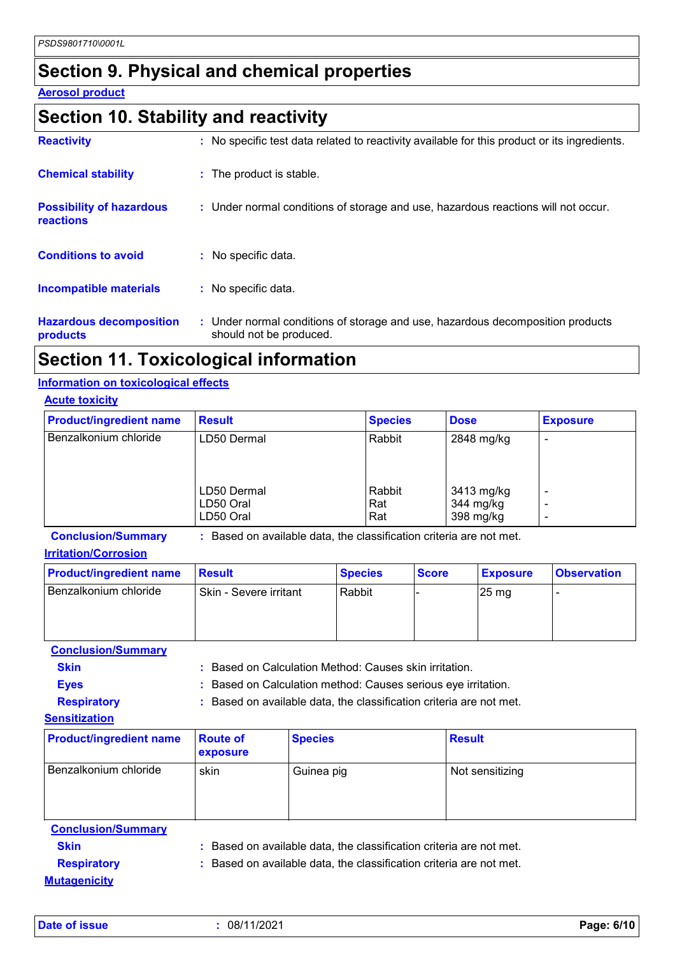### **Section 9. Physical and chemical properties**

#### **Aerosol product**

### **Section 10. Stability and reactivity**

| <b>Reactivity</b>                            | : No specific test data related to reactivity available for this product or its ingredients.              |
|----------------------------------------------|-----------------------------------------------------------------------------------------------------------|
| <b>Chemical stability</b>                    | : The product is stable.                                                                                  |
| <b>Possibility of hazardous</b><br>reactions | : Under normal conditions of storage and use, hazardous reactions will not occur.                         |
| <b>Conditions to avoid</b>                   | : No specific data.                                                                                       |
| <b>Incompatible materials</b>                | : No specific data.                                                                                       |
| <b>Hazardous decomposition</b><br>products   | : Under normal conditions of storage and use, hazardous decomposition products<br>should not be produced. |

### **Section 11. Toxicological information**

#### **Information on toxicological effects**

| <b>Acute toxicity</b>          |                                       |                      |                                      |                               |  |
|--------------------------------|---------------------------------------|----------------------|--------------------------------------|-------------------------------|--|
| <b>Product/ingredient name</b> | <b>Result</b>                         | <b>Species</b>       | <b>Dose</b>                          | <b>Exposure</b>               |  |
| Benzalkonium chloride          | LD50 Dermal                           | Rabbit               | 2848 mg/kg                           |                               |  |
|                                | LD50 Dermal<br>LD50 Oral<br>LD50 Oral | Rabbit<br>Rat<br>Rat | 3413 mg/kg<br>344 mg/kg<br>398 mg/kg | $\overline{\phantom{0}}$<br>٠ |  |

**Conclusion/Summary :** Based on available data, the classification criteria are not met.

#### **Irritation/Corrosion**

| <b>Product/ingredient name</b> | <b>Result</b>          | <b>Species</b> | <b>Score</b> | <b>Exposure</b>    | <b>Observation</b> |
|--------------------------------|------------------------|----------------|--------------|--------------------|--------------------|
| Benzalkonium chloride          | Skin - Severe irritant | Rabbit         |              | $25 \,\mathrm{mg}$ |                    |

**Conclusion/Summary**

**Skin :** Based on Calculation Method: Causes skin irritation.

**Eyes :** Based on Calculation method: Causes serious eye irritation.

**Respiratory :** Based on available data, the classification criteria are not met.

#### **Sensitization**

| <b>Product/ingredient name</b> | <b>Route of</b><br>exposure | <b>Species</b> | <b>Result</b>   |
|--------------------------------|-----------------------------|----------------|-----------------|
| Benzalkonium chloride          | skin                        | Guinea pig     | Not sensitizing |

| <b>Conclusion/Summary</b> |                                                                     |
|---------------------------|---------------------------------------------------------------------|
| <b>Skin</b>               | : Based on available data, the classification criteria are not met. |
| <b>Respiratory</b>        | : Based on available data, the classification criteria are not met. |
| <b>Mutagenicity</b>       |                                                                     |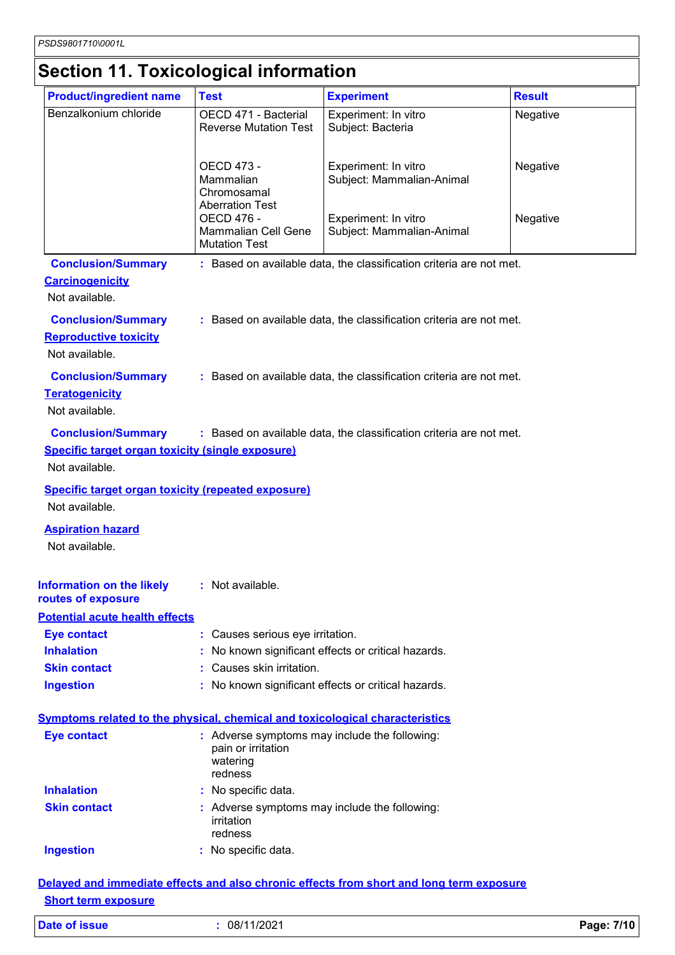# **Section 11. Toxicological information**

| <b>Product/ingredient name</b>                                                                         | <b>Test</b>                                                                                | <b>Experiment</b>                                                                        | <b>Result</b> |
|--------------------------------------------------------------------------------------------------------|--------------------------------------------------------------------------------------------|------------------------------------------------------------------------------------------|---------------|
| Benzalkonium chloride                                                                                  | OECD 471 - Bacterial<br><b>Reverse Mutation Test</b>                                       | Experiment: In vitro<br>Subject: Bacteria                                                | Negative      |
|                                                                                                        | OECD 473 -<br>Mammalian<br>Chromosamal<br><b>Aberration Test</b>                           | Experiment: In vitro<br>Subject: Mammalian-Animal                                        | Negative      |
|                                                                                                        | <b>OECD 476 -</b><br><b>Mammalian Cell Gene</b><br><b>Mutation Test</b>                    | Experiment: In vitro<br>Subject: Mammalian-Animal                                        | Negative      |
| <b>Conclusion/Summary</b>                                                                              |                                                                                            | : Based on available data, the classification criteria are not met.                      |               |
| <b>Carcinogenicity</b><br>Not available.                                                               |                                                                                            |                                                                                          |               |
| <b>Conclusion/Summary</b><br><b>Reproductive toxicity</b><br>Not available.                            |                                                                                            | : Based on available data, the classification criteria are not met.                      |               |
| <b>Conclusion/Summary</b><br><b>Teratogenicity</b><br>Not available.                                   |                                                                                            | : Based on available data, the classification criteria are not met.                      |               |
| <b>Conclusion/Summary</b><br><b>Specific target organ toxicity (single exposure)</b><br>Not available. |                                                                                            | : Based on available data, the classification criteria are not met.                      |               |
| <b>Specific target organ toxicity (repeated exposure)</b><br>Not available.                            |                                                                                            |                                                                                          |               |
| <b>Aspiration hazard</b><br>Not available.                                                             |                                                                                            |                                                                                          |               |
| Information on the likely<br>routes of exposure                                                        | : Not available.                                                                           |                                                                                          |               |
| <b>Potential acute health effects</b>                                                                  |                                                                                            |                                                                                          |               |
| <b>Eye contact</b>                                                                                     | : Causes serious eye irritation.                                                           |                                                                                          |               |
| <b>Inhalation</b>                                                                                      |                                                                                            | No known significant effects or critical hazards.                                        |               |
| <b>Skin contact</b>                                                                                    | : Causes skin irritation.                                                                  |                                                                                          |               |
| <b>Ingestion</b>                                                                                       |                                                                                            | : No known significant effects or critical hazards.                                      |               |
| <b>Symptoms related to the physical, chemical and toxicological characteristics</b>                    |                                                                                            |                                                                                          |               |
| <b>Eye contact</b>                                                                                     | : Adverse symptoms may include the following:<br>pain or irritation<br>watering<br>redness |                                                                                          |               |
| <b>Inhalation</b>                                                                                      | : No specific data.                                                                        |                                                                                          |               |
| <b>Skin contact</b>                                                                                    | : Adverse symptoms may include the following:<br>irritation<br>redness                     |                                                                                          |               |
| <b>Ingestion</b>                                                                                       | : No specific data.                                                                        |                                                                                          |               |
|                                                                                                        |                                                                                            | Delayed and immediate effects and also chronic effects from short and long term exposure |               |

#### **Short term exposure**

| <b>Date of issue</b> |  |  |
|----------------------|--|--|
|                      |  |  |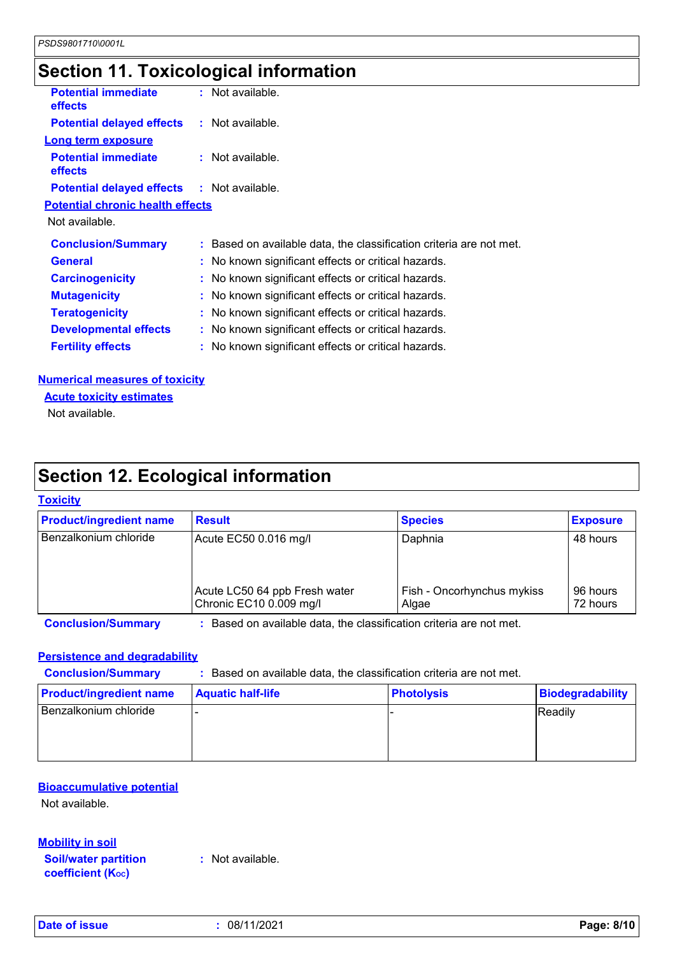## **Section 11. Toxicological information**

| <b>Potential immediate</b><br><b>effects</b>      | : Not available.                                                    |
|---------------------------------------------------|---------------------------------------------------------------------|
| <b>Potential delayed effects : Not available.</b> |                                                                     |
| <b>Long term exposure</b>                         |                                                                     |
| <b>Potential immediate</b><br><b>effects</b>      | : Not available.                                                    |
| <b>Potential delayed effects : Not available.</b> |                                                                     |
| <b>Potential chronic health effects</b>           |                                                                     |
| Not available.                                    |                                                                     |
| <b>Conclusion/Summary</b>                         | : Based on available data, the classification criteria are not met. |
| <b>General</b>                                    | : No known significant effects or critical hazards.                 |
| <b>Carcinogenicity</b>                            | : No known significant effects or critical hazards.                 |
| <b>Mutagenicity</b>                               | : No known significant effects or critical hazards.                 |
| <b>Teratogenicity</b>                             | : No known significant effects or critical hazards.                 |
| <b>Developmental effects</b>                      | : No known significant effects or critical hazards.                 |
| <b>Fertility effects</b>                          | : No known significant effects or critical hazards.                 |
|                                                   |                                                                     |

#### **Numerical measures of toxicity**

**Acute toxicity estimates**

Not available.

### **Section 12. Ecological information**

#### **Toxicity**

| <b>Product/ingredient name</b> | <b>Result</b>                                            | <b>Species</b>                      | <b>Exposure</b>      |
|--------------------------------|----------------------------------------------------------|-------------------------------------|----------------------|
| Benzalkonium chloride          | Acute EC50 0.016 mg/l                                    | Daphnia                             | 48 hours             |
|                                | Acute LC50 64 ppb Fresh water<br>Chronic EC10 0.009 mg/l | Fish - Oncorhynchus mykiss<br>Algae | 96 hours<br>72 hours |

**Conclusion/Summary :** Based on available data, the classification criteria are not met.

#### **Persistence and degradability**

**Conclusion/Summary :** Based on available data, the classification criteria are not met.

| <b>Product/ingredient name</b> | <b>Aquatic half-life</b> | <b>Photolysis</b> | Biodegradability |
|--------------------------------|--------------------------|-------------------|------------------|
| Benzalkonium chloride          |                          |                   | Readily          |
|                                |                          |                   |                  |
|                                |                          |                   |                  |

#### **Bioaccumulative potential**

Not available.

**Mobility in soil**

**Soil/water partition coefficient (KOC)**

**:** Not available.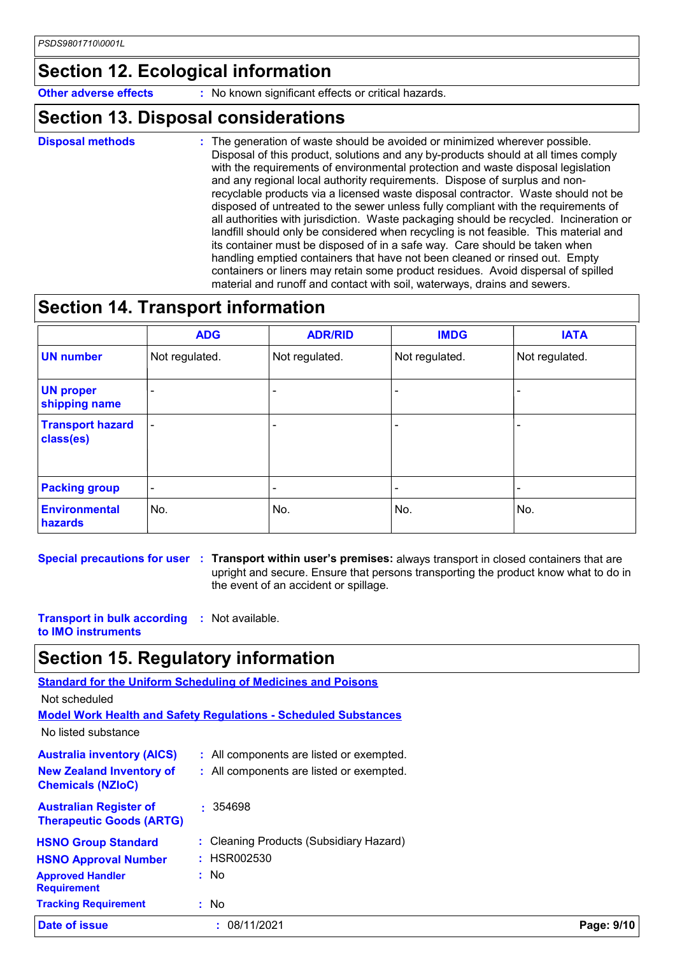### **Section 12. Ecological information**

**Other adverse effects** : No known significant effects or critical hazards.

### **Section 13. Disposal considerations**

**Disposal methods :**

The generation of waste should be avoided or minimized wherever possible. Disposal of this product, solutions and any by-products should at all times comply with the requirements of environmental protection and waste disposal legislation and any regional local authority requirements. Dispose of surplus and nonrecyclable products via a licensed waste disposal contractor. Waste should not be disposed of untreated to the sewer unless fully compliant with the requirements of all authorities with jurisdiction. Waste packaging should be recycled. Incineration or landfill should only be considered when recycling is not feasible. This material and its container must be disposed of in a safe way. Care should be taken when handling emptied containers that have not been cleaned or rinsed out. Empty containers or liners may retain some product residues. Avoid dispersal of spilled material and runoff and contact with soil, waterways, drains and sewers.

### **Section 14. Transport information**

|                                      | <b>ADG</b>               | <b>ADR/RID</b> | <b>IMDG</b>    | <b>IATA</b>              |
|--------------------------------------|--------------------------|----------------|----------------|--------------------------|
| <b>UN number</b>                     | Not regulated.           | Not regulated. | Not regulated. | Not regulated.           |
| <b>UN proper</b><br>shipping name    |                          |                |                | $\overline{\phantom{0}}$ |
| <b>Transport hazard</b><br>class(es) | $\overline{\phantom{a}}$ |                | ٠              |                          |
| <b>Packing group</b>                 | $\overline{\phantom{a}}$ |                |                |                          |
| <b>Environmental</b><br>hazards      | No.                      | No.            | No.            | No.                      |

**Special precautions for user Transport within user's premises:** always transport in closed containers that are **:** upright and secure. Ensure that persons transporting the product know what to do in the event of an accident or spillage.

**Transport in bulk according :** Not available. **to IMO instruments**

### **Section 15. Regulatory information**

|                                                                  | <b>Standard for the Uniform Scheduling of Medicines and Poisons</b>    |            |
|------------------------------------------------------------------|------------------------------------------------------------------------|------------|
| Not scheduled                                                    |                                                                        |            |
|                                                                  | <b>Model Work Health and Safety Regulations - Scheduled Substances</b> |            |
| No listed substance                                              |                                                                        |            |
| <b>Australia inventory (AICS)</b>                                | : All components are listed or exempted.                               |            |
| <b>New Zealand Inventory of</b><br><b>Chemicals (NZIoC)</b>      | : All components are listed or exempted.                               |            |
| <b>Australian Register of</b><br><b>Therapeutic Goods (ARTG)</b> | $\cdot$ 354698                                                         |            |
| <b>HSNO Group Standard</b>                                       | : Cleaning Products (Subsidiary Hazard)                                |            |
| <b>HSNO Approval Number</b>                                      | : HSR002530                                                            |            |
| <b>Approved Handler</b><br><b>Requirement</b>                    | : No                                                                   |            |
| <b>Tracking Requirement</b>                                      | : No                                                                   |            |
| Date of issue                                                    | 08/11/2021<br>÷.                                                       | Page: 9/10 |